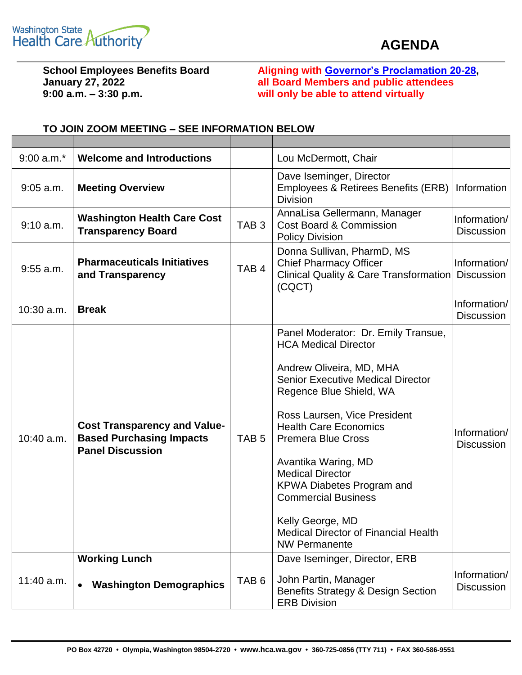

## **AGENDA**

**9:00 a.m. – 3:30 p.m. will only be able to attend virtually**

**School Employees Benefits Board Aligning with [Governor's Proclamation 20-28,](https://www.governor.wa.gov/sites/default/files/proclamations/20-28%20-%20COVID-19%20Open%20Govt%20Laws%20Waivers%20%28tmp%29.pdf) January 27, 2022 all Board Members and public attendees**

| $9:00$ a.m. $*$ | <b>Welcome and Introductions</b>                                                                  |                  | Lou McDermott, Chair                                                                                                                                                                                                                                                                                                                                                                                                                                                              |                                   |
|-----------------|---------------------------------------------------------------------------------------------------|------------------|-----------------------------------------------------------------------------------------------------------------------------------------------------------------------------------------------------------------------------------------------------------------------------------------------------------------------------------------------------------------------------------------------------------------------------------------------------------------------------------|-----------------------------------|
| $9:05$ a.m.     | <b>Meeting Overview</b>                                                                           |                  | Dave Iseminger, Director<br>Employees & Retirees Benefits (ERB)<br><b>Division</b>                                                                                                                                                                                                                                                                                                                                                                                                | Information                       |
| 9:10 a.m.       | <b>Washington Health Care Cost</b><br><b>Transparency Board</b>                                   | TAB <sub>3</sub> | AnnaLisa Gellermann, Manager<br><b>Cost Board &amp; Commission</b><br><b>Policy Division</b>                                                                                                                                                                                                                                                                                                                                                                                      | Information/<br><b>Discussion</b> |
| $9:55$ a.m.     | <b>Pharmaceuticals Initiatives</b><br>and Transparency                                            | TAB <sub>4</sub> | Donna Sullivan, PharmD, MS<br><b>Chief Pharmacy Officer</b><br>Clinical Quality & Care Transformation<br>(CQCT)                                                                                                                                                                                                                                                                                                                                                                   | Information/<br>Discussion        |
| 10:30 a.m.      | <b>Break</b>                                                                                      |                  |                                                                                                                                                                                                                                                                                                                                                                                                                                                                                   | Information/<br><b>Discussion</b> |
| 10:40 a.m.      | <b>Cost Transparency and Value-</b><br><b>Based Purchasing Impacts</b><br><b>Panel Discussion</b> | TAB <sub>5</sub> | Panel Moderator: Dr. Emily Transue,<br><b>HCA Medical Director</b><br>Andrew Oliveira, MD, MHA<br><b>Senior Executive Medical Director</b><br>Regence Blue Shield, WA<br>Ross Laursen, Vice President<br><b>Health Care Economics</b><br><b>Premera Blue Cross</b><br>Avantika Waring, MD<br><b>Medical Director</b><br><b>KPWA Diabetes Program and</b><br><b>Commercial Business</b><br>Kelly George, MD<br><b>Medical Director of Financial Health</b><br><b>NW Permanente</b> | Information/<br><b>Discussion</b> |
| 11:40 a.m.      | <b>Working Lunch</b><br><b>Washington Demographics</b>                                            | TAB <sub>6</sub> | Dave Iseminger, Director, ERB<br>John Partin, Manager<br>Benefits Strategy & Design Section<br><b>ERB Division</b>                                                                                                                                                                                                                                                                                                                                                                | Information/<br><b>Discussion</b> |

## **TO JOIN ZOOM MEETING – SEE INFORMATION BELOW**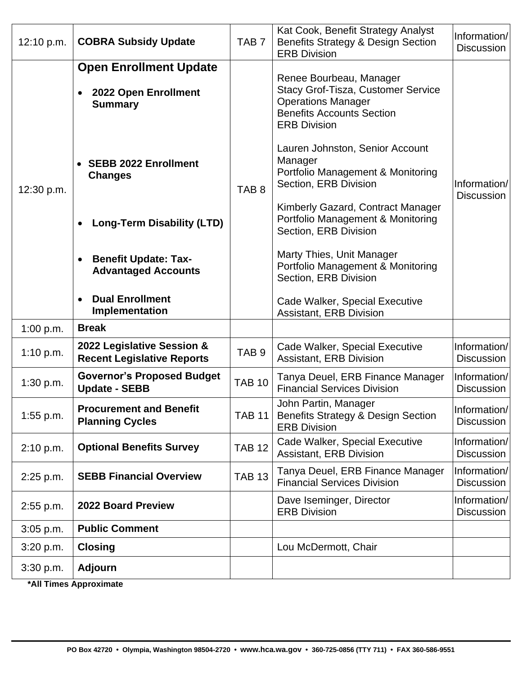| 12:10 p.m.  | <b>COBRA Subsidy Update</b>                                             | TAB <sub>7</sub> | Kat Cook, Benefit Strategy Analyst<br>Benefits Strategy & Design Section<br><b>ERB Division</b>                                                       | Information/<br><b>Discussion</b> |
|-------------|-------------------------------------------------------------------------|------------------|-------------------------------------------------------------------------------------------------------------------------------------------------------|-----------------------------------|
| 12:30 p.m.  | <b>Open Enrollment Update</b><br>2022 Open Enrollment<br><b>Summary</b> |                  | Renee Bourbeau, Manager<br>Stacy Grof-Tisza, Customer Service<br><b>Operations Manager</b><br><b>Benefits Accounts Section</b><br><b>ERB Division</b> |                                   |
|             | <b>SEBB 2022 Enrollment</b><br><b>Changes</b>                           | TAB <sub>8</sub> | Lauren Johnston, Senior Account<br>Manager<br>Portfolio Management & Monitoring<br>Section, ERB Division                                              | Information/<br><b>Discussion</b> |
|             | <b>Long-Term Disability (LTD)</b>                                       |                  | Kimberly Gazard, Contract Manager<br>Portfolio Management & Monitoring<br>Section, ERB Division                                                       |                                   |
|             | <b>Benefit Update: Tax-</b><br><b>Advantaged Accounts</b>               |                  | Marty Thies, Unit Manager<br>Portfolio Management & Monitoring<br>Section, ERB Division                                                               |                                   |
|             | <b>Dual Enrollment</b><br>Implementation                                |                  | Cade Walker, Special Executive<br><b>Assistant, ERB Division</b>                                                                                      |                                   |
| 1:00 p.m.   | <b>Break</b>                                                            |                  |                                                                                                                                                       |                                   |
| 1:10 p.m.   | 2022 Legislative Session &<br><b>Recent Legislative Reports</b>         | TAB <sub>9</sub> | Cade Walker, Special Executive<br><b>Assistant, ERB Division</b>                                                                                      | Information/<br><b>Discussion</b> |
| 1:30 p.m.   | <b>Governor's Proposed Budget</b><br><b>Update - SEBB</b>               | <b>TAB 10</b>    | Tanya Deuel, ERB Finance Manager<br><b>Financial Services Division</b>                                                                                | Information/<br><b>Discussion</b> |
| $1:55$ p.m. | <b>Procurement and Benefit</b><br><b>Planning Cycles</b>                | <b>TAB 11</b>    | John Partin, Manager<br><b>Benefits Strategy &amp; Design Section</b><br><b>ERB Division</b>                                                          | Information/<br><b>Discussion</b> |
| 2:10 p.m.   | <b>Optional Benefits Survey</b>                                         | <b>TAB 12</b>    | Cade Walker, Special Executive<br><b>Assistant, ERB Division</b>                                                                                      | Information/<br><b>Discussion</b> |
| 2:25 p.m.   | <b>SEBB Financial Overview</b>                                          | <b>TAB 13</b>    | Tanya Deuel, ERB Finance Manager<br><b>Financial Services Division</b>                                                                                | Information/<br><b>Discussion</b> |
| $2:55$ p.m. | 2022 Board Preview                                                      |                  | Dave Iseminger, Director<br><b>ERB Division</b>                                                                                                       | Information/<br><b>Discussion</b> |
| $3:05$ p.m. | <b>Public Comment</b>                                                   |                  |                                                                                                                                                       |                                   |
| 3:20 p.m.   | <b>Closing</b>                                                          |                  | Lou McDermott, Chair                                                                                                                                  |                                   |
| 3:30 p.m.   | <b>Adjourn</b>                                                          |                  |                                                                                                                                                       |                                   |

**\*All Times Approximate**